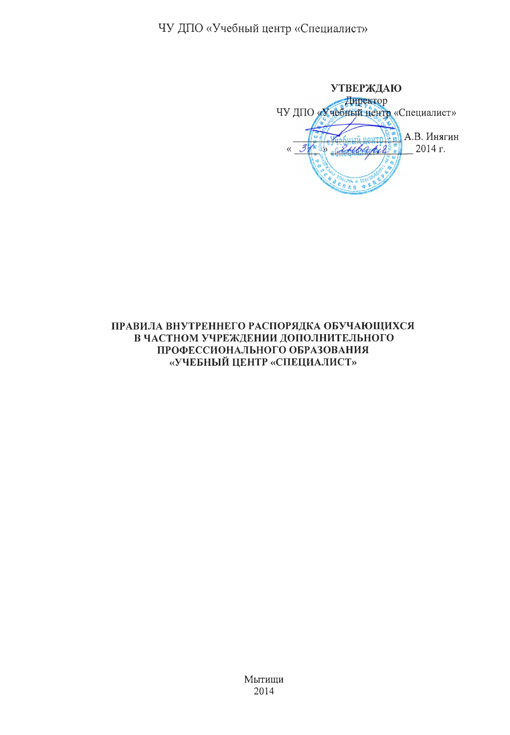ЧУ ДПО «Учебный центр «Специалист»

**УТВЕРЖДАЮ** Директор ЧУ ДПО «Хчебный центр «Специалист» А.В. Инягин  $\kappa$  3 andbackers 2014 г. a s

### ПРАВИЛА ВНУТРЕННЕГО РАСПОРЯДКА ОБУЧАЮЩИХСЯ В ЧАСТНОМ УЧРЕЖДЕНИИ ДОПОЛНИТЕЛЬНОГО ПРОФЕССИОНАЛЬНОГО ОБРАЗОВАНИЯ «УЧЕБНЫЙ ЦЕНТР «СПЕЦИАЛИСТ»

Мытищи 2014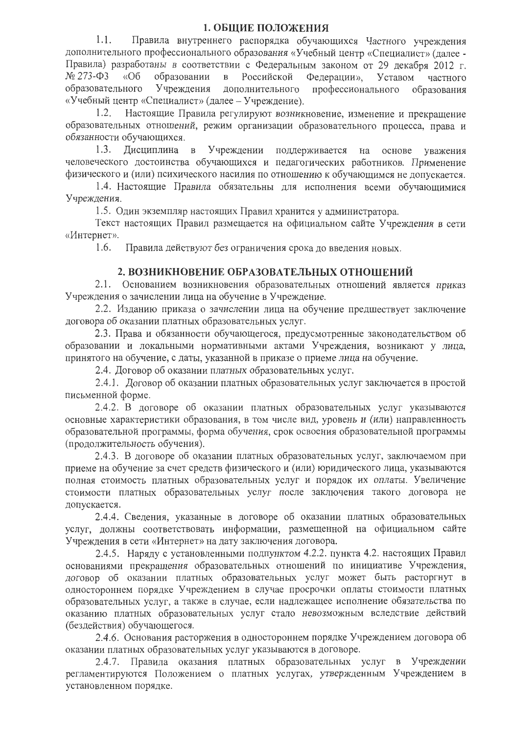#### 1. ОБЩИЕ ПОЛОЖЕНИЯ

 $1.1.$ Правила внутреннего распорядка обучающихся Частного учреждения дополнительного профессионального образования «Учебный центр «Специалист» (далее -Правила) разработаны в соответствии с Федеральным законом от 29 декабря 2012 г.  $N_2$  273- $\Phi$ 3  $\triangleleft$ Oб образовании  $\, {\bf B}$ Российской Федерации», Уставом частного образовательного Учреждения дополнительного профессионального образования «Учебный центр «Специалист» (далее – Учреждение).

Настоящие Правила регулируют возникновение, изменение и прекращение  $1.2.$ образовательных отношений, режим организации образовательного процесса, права и обязанности обучающихся.

 $1.3.$ Дисциплина в Учреждении поддерживается на основе уважения человеческого достоинства обучающихся и педагогических работников. Применение физического и (или) психического насилия по отношению к обучающимся не допускается.

1.4. Настоящие Правила обязательны для исполнения всеми обучающимися Учреждения.

1.5. Один экземпляр настоящих Правил хранится у администратора.

Текст настоящих Правил размещается на официальном сайте Учреждения в сети «Интернет».

1.6. Правила действуют без ограничения срока до введения новых.

#### 2. ВОЗНИКНОВЕНИЕ ОБРАЗОВАТЕЛЬНЫХ ОТНОШЕНИЙ

2.1. Основанием возникновения образовательных отношений является приказ Учреждения о зачислении лица на обучение в Учреждение.

2.2. Изданию приказа о зачислении лица на обучение предшествует заключение договора об оказании платных образовательных услуг.

2.3. Права и обязанности обучающегося, предусмотренные законодательством об образовании и локальными нормативными актами Учреждения, возникают у лица, принятого на обучение, с даты, указанной в приказе о приеме лица на обучение.

2.4. Договор об оказании платных образовательных услуг.

2.4.1. Логовор об оказании платных образовательных услуг заключается в простой письменной форме.

2.4.2. В договоре об оказании платных образовательных услуг указываются основные характеристики образования, в том числе вид, уровень и (или) направленность образовательной программы, форма обучения, срок освоения образовательной программы (продолжительность обучения).

2.4.3. В договоре об оказании платных образовательных услуг, заключаемом при приеме на обучение за счет средств физического и (или) юридического лица, указываются полная стоимость платных образовательных услуг и порядок их оплаты. Увеличение стоимости платных образовательных услуг после заключения такого договора не допускается.

2.4.4. Сведения, указанные в договоре об оказании платных образовательных услуг, должны соответствовать информации, размещенной на официальном сайте Учреждения в сети «Интернет» на дату заключения договора.

2.4.5. Наряду с установленными подпунктом 4.2.2. пункта 4.2. настоящих Правил основаниями прекращения образовательных отношений по инициативе Учреждения, договор об оказании платных образовательных услуг может быть расторгнут в одностороннем порядке Учреждением в случае просрочки оплаты стоимости платных образовательных услуг, а также в случае, если надлежащее исполнение обязательства по оказанию платных образовательных услуг стало невозможным вследствие действий (бездействия) обучающегося.

2.4.6. Основания расторжения в одностороннем порядке Учреждением договора об оказании платных образовательных услуг указываются в договоре.

2.4.7. Правила оказания платных образовательных услуг в Учреждении регламентируются Положением о платных услугах, утвержденным Учреждением в установленном порядке.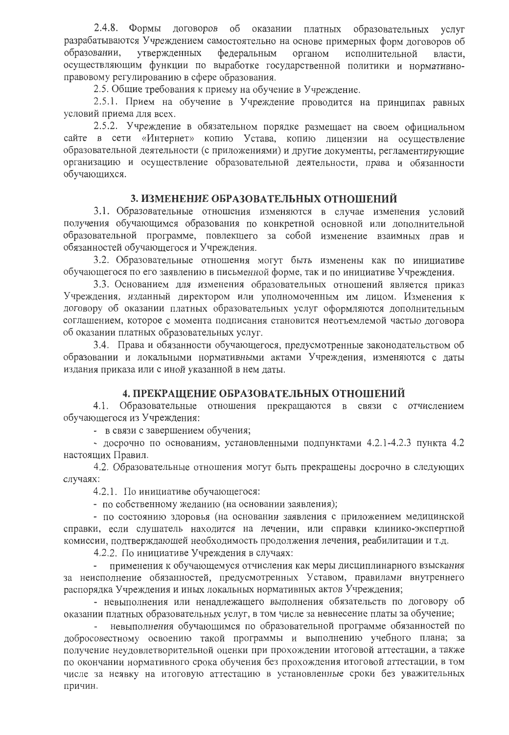2.4.8. Формы договоров об оказании платных образовательных услуг разрабатываются Учреждением самостоятельно на основе примерных форм договоров об утвержденных федеральным органом образовании, исполнительной власти. осуществляющим функции по выработке государственной политики и нормативноправовому регулированию в сфере образования.

2.5. Общие требования к приему на обучение в Учреждение.

2.5.1. Прием на обучение в Учреждение проводится на принципах равных условий приема для всех.

2.5.2. Учреждение в обязательном порядке размещает на своем официальном сайте в сети «Интернет» копию Устава, копию лицензии на осуществление образовательной деятельности (с приложениями) и другие документы, регламентирующие организацию и осуществление образовательной деятельности, права и обязанности обучающихся.

#### 3. ИЗМЕНЕНИЕ ОБРАЗОВАТЕЛЬНЫХ ОТНОШЕНИЙ

3.1. Образовательные отношения изменяются в случае изменения условий получения обучающимся образования по конкретной основной или дополнительной образовательной программе, повлекшего за собой изменение взаимных прав и обязанностей обучающегося и Учреждения.

3.2. Образовательные отношения могут быть изменены как по инициативе обучающегося по его заявлению в письменной форме, так и по инициативе Учреждения.

3.3. Основанием для изменения образовательных отношений является приказ Учреждения, изданный директором или уполномоченным им лицом. Изменения к договору об оказании платных образовательных услуг оформляются дополнительным соглашением, которое с момента подписания становится неотъемлемой частью договора об оказании платных образовательных услуг.

3.4. Права и обязанности обучающегося, предусмотренные законодательством об образовании и локальными нормативными актами Учреждения, изменяются с даты издания приказа или с иной указанной в нем даты.

#### 4. ПРЕКРАЩЕНИЕ ОБРАЗОВАТЕЛЬНЫХ ОТНОШЕНИЙ

4.1. Образовательные отношения прекращаются в связи с отчислением обучающегося из Учреждения:

- в связи с завершением обучения;

- досрочно по основаниям, установленными подпунктами 4.2.1-4.2.3 пункта 4.2 настоящих Правил.

4.2. Образовательные отношения могут быть прекращены досрочно в следующих случаях:

4.2.1. По инициативе обучающегося:

- по собственному желанию (на основании заявления);

- по состоянию здоровья (на основании заявления с приложением медицинской справки, если слушатель находится на лечении, или справки клинико-экспертной комиссии, подтверждающей необходимость продолжения лечения, реабилитации и т.д.

4.2.2. По инициативе Учреждения в случаях:

применения к обучающемуся отчисления как меры дисциплинарного взыскания за неисполнение обязанностей, предусмотренных Уставом, правилами внутреннего распорядка Учреждения и иных локальных нормативных актов Учреждения;

- невыполнения или ненадлежащего выполнения обязательств по договору об оказании платных образовательных услуг, в том числе за невнесение платы за обучение;

невыполнения обучающимся по образовательной программе обязанностей по добросовестному освоению такой программы и выполнению учебного плана; за получение неудовлетворительной оценки при прохождении итоговой аттестации, а также по окончании нормативного срока обучения без прохождения итоговой аттестации, в том числе за неявку на итоговую аттестацию в установленные сроки без уважительных причин.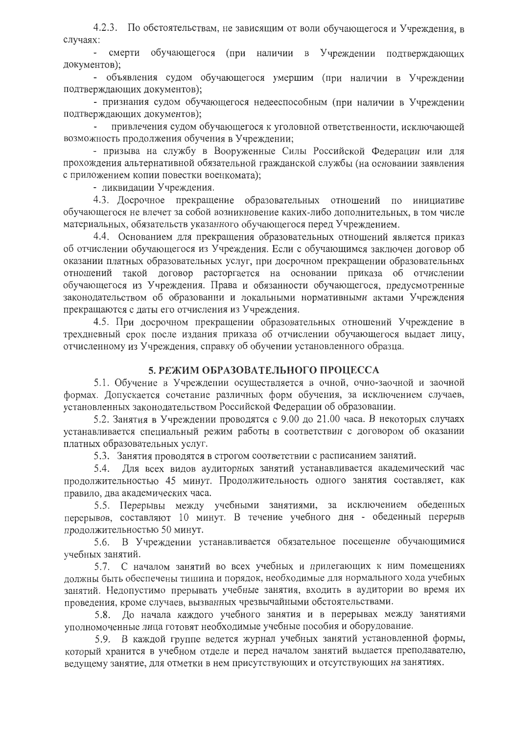4.2.3. По обстоятельствам, не зависящим от воли обучающегося и Учреждения, в случаях:

- смерти обучающегося (при наличии в Учреждении подтверждающих документов);

- объявления судом обучающегося умершим (при наличии в Учреждении подтверждающих документов);

- признания судом обучающегося недееспособным (при наличии в Учреждении подтверждающих документов);

привлечения судом обучающегося к уголовной ответственности, исключающей возможность продолжения обучения в Учреждении;

- призыва на службу в Вооруженные Силы Российской Федерации или для прохождения альтернативной обязательной гражданской службы (на основании заявления с приложением копии повестки военкомата);

- ликвидации Учреждения.

4.3. Досрочное прекращение образовательных отношений по инициативе обучающегося не влечет за собой возникновение каких-либо дополнительных, в том числе материальных, обязательств указанного обучающегося перед Учреждением.

4.4. Основанием для прекращения образовательных отношений является приказ об отчислении обучающегося из Учреждения. Если с обучающимся заключен договор об оказании платных образовательных услуг, при досрочном прекращении образовательных отношений такой договор расторгается на основании приказа об отчислении обучающегося из Учреждения. Права и обязанности обучающегося, предусмотренные законодательством об образовании и локальными нормативными актами Учреждения прекращаются с даты его отчисления из Учреждения.

4.5. При досрочном прекращении образовательных отношений Учреждение в трехдневный срок после издания приказа об отчислении обучающегося выдает лицу, отчисленному из Учреждения, справку об обучении установленного образца.

#### 5. РЕЖИМ ОБРАЗОВАТЕЛЬНОГО ПРОЦЕССА

5.1. Обучение в Учреждении осуществляется в очной, очно-заочной и заочной формах. Допускается сочетание различных форм обучения, за исключением случаев, установленных законодательством Российской Федерации об образовании.

5.2. Занятия в Учреждении проводятся с 9.00 до 21.00 часа. В некоторых случаях устанавливается специальный режим работы в соответствии с договором об оказании платных образовательных услуг.

5.3. Занятия проводятся в строгом соответствии с расписанием занятий.

5.4. Для всех видов аудиторных занятий устанавливается академический час продолжительностью 45 минут. Продолжительность одного занятия составляет, как правило, два академических часа.

5.5. Перерывы между учебными занятиями, за исключением обеденных перерывов, составляют 10 минут. В течение учебного дня - обеденный перерыв продолжительностью 50 минут.

5.6. В Учреждении устанавливается обязательное посещение обучающимися учебных занятий.

5.7. С началом занятий во всех учебных и прилегающих к ним помещениях лолжны быть обеспечены тишина и порядок, необходимые для нормального хода учебных занятий. Недопустимо прерывать учебные занятия, входить в аудитории во время их проведения, кроме случаев, вызванных чрезвычайными обстоятельствами.

5.8. До начала каждого учебного занятия и в перерывах между занятиями уполномоченные лица готовят необходимые учебные пособия и оборудование.

5.9. В каждой группе ведется журнал учебных занятий установленной формы, который хранится в учебном отделе и перед началом занятий выдается преподавателю, ведущему занятие, для отметки в нем присутствующих и отсутствующих на занятиях.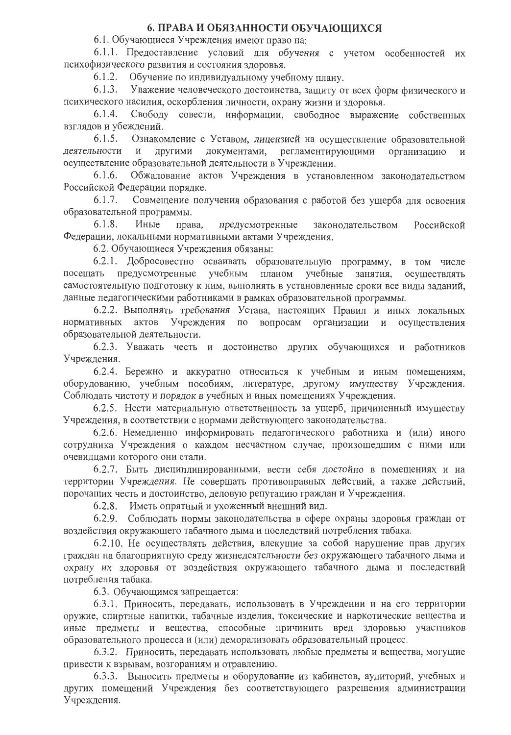### 6. ПРАВА И ОБЯЗАННОСТИ ОБУЧАЮЩИХСЯ

6.1. Обучающиеся Учреждения имеют право на:

6.1.1. Предоставление условий для обучения с учетом особенностей их психофизического развития и состояния здоровья.

Обучение по индивидуальному учебному плану.  $6.1.2.$ 

 $6.1.3.$ Уважение человеческого достоинства, защиту от всех форм физического и психического насилия, оскорбления личности, охрану жизни и здоровья.

 $6.1.4.$ Свободу совести, информации, свободное выражение собственных взглялов и убеждений.

 $6.1.5.$ Ознакомление с Уставом, лицензией на осуществление образовательной леятельности и регламентирующими ДРУГИМИ документами, организацию  $\,$  M осуществление образовательной деятельности в Учреждении.

Обжалование актов Учреждения в установленном законодательством  $6.1.6.$ Российской Федерации порядке.

Совмещение получения образования с работой без ущерба для освоения  $6.1.7.$ образовательной программы.

 $6.1.8.$ Иные права, предусмотренные законодательством Российской Федерации, локальными нормативными актами Учреждения.

6.2. Обучающиеся Учреждения обязаны:

6.2.1. Добросовестно осваивать образовательную программу, в том числе посещать предусмотренные учебным планом учебные занятия, осуществлять самостоятельную подготовку к ним, выполнять в установленные сроки все виды заданий, данные педагогическими работниками в рамках образовательной программы.

6.2.2. Выполнять требования Устава, настоящих Правил и иных локальных нормативных актов Учреждения по вопросам организации и осуществления образовательной деятельности.

6.2.3. Уважать честь и достоинство других обучающихся и работников Учреждения.

6.2.4. Бережно и аккуратно относиться к учебным и иным помещениям, оборудованию, учебным пособиям, литературе, другому имуществу Учреждения. Соблюдать чистоту и порядок в учебных и иных помещениях Учреждения.

6.2.5. Нести материальную ответственность за ущерб, причиненный имуществу Учреждения, в соответствии с нормами действующего законодательства.

6.2.6. Немедленно информировать педагогического работника и (или) иного сотрудника Учреждения о каждом несчастном случае, произошедшим с ними или очевидцами которого они стали.

6.2.7. Быть дисциплинированными, вести себя достойно в помещениях и на территории Учреждения. Не совершать противоправных действий, а также действий, порочащих честь и достоинство, деловую репутацию граждан и Учреждения.

6.2.8. Иметь опрятный и ухоженный внешний вид.

6.2.9. Соблюдать нормы законодательства в сфере охраны здоровья граждан от воздействия окружающего табачного дыма и последствий потребления табака.

6.2.10. Не осуществлять действия, влекущие за собой нарушение прав других граждан на благоприятную среду жизнедеятельности без окружающего табачного дыма и охрану их здоровья от воздействия окружающего табачного дыма и последствий потребления табака.

6.3. Обучающимся запрещается:

6.3.1. Приносить, передавать, использовать в Учреждении и на его территории оружие, спиртные напитки, табачные изделия, токсические и наркотические вещества и иные предметы и вещества, способные причинить вред здоровью участников образовательного процесса и (или) деморализовать образовательный процесс.

6.3.2. Приносить, передавать использовать любые предметы и вещества, могущие привести к взрывам, возгораниям и отравлению.

6.3.3. Выносить предметы и оборудование из кабинетов, аудиторий, учебных и других помещений Учреждения без соответствующего разрешения администрации Учреждения.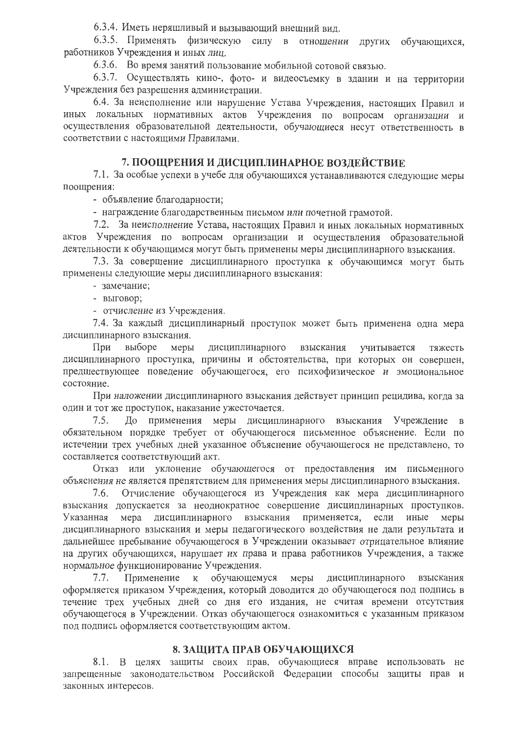6.3.4. Иметь неряшливый и вызывающий внешний вид.

6.3.5. Применять физическую силу в отношении других обучающихся, работников Учреждения и иных лиц.

6.3.6. Во время занятий пользование мобильной сотовой связью.

6.3.7. Осуществлять кино-, фото- и видеосъемку в здании и на территории Учреждения без разрешения администрации.

6.4. За неисполнение или нарушение Устава Учреждения, настоящих Правил и иных локальных нормативных актов Учреждения по вопросам организации и осуществления образовательной деятельности, обучающиеся несут ответственность в соответствии с настоящими Правилами.

# 7. ПООЩРЕНИЯ И ДИСЦИПЛИНАРНОЕ ВОЗДЕЙСТВИЕ

7.1. За особые успехи в учебе для обучающихся устанавливаются следующие меры поощрения:

- объявление благодарности;

- награждение благодарственным письмом или почетной грамотой.

7.2. За неисполнение Устава, настоящих Правил и иных локальных нормативных актов Учреждения по вопросам организации и осуществления образовательной деятельности к обучающимся могут быть применены меры дисциплинарного взыскания.

7.3. За совершение дисциплинарного проступка к обучающимся могут быть применены следующие меры дисциплинарного взыскания:

- замечание;

- выговор;

- отчисление из Учреждения.

7.4. За каждый дисциплинарный проступок может быть применена одна мера дисциплинарного взыскания.

При выборе дисциплинарного взыскания учитывается тяжесть меры дисциплинарного проступка, причины и обстоятельства, при которых он совершен, предшествующее поведение обучающегося, его психофизическое и эмоциональное состояние.

При наложении дисциплинарного взыскания действует принцип рецидива, когда за один и тот же проступок, наказание ужесточается.

До применения меры дисциплинарного взыскания Учреждение в  $7.5.$ обязательном порядке требует от обучающегося письменное объяснение. Если по истечении трех учебных дней указанное объяснение обучающегося не представлено, то составляется соответствующий акт.

Отказ или уклонение обучающегося от предоставления им письменного объяснения не является препятствием для применения меры дисциплинарного взыскания.

7.6. Отчисление обучающегося из Учреждения как мера дисциплинарного взыскания допускается за неоднократное совершение дисциплинарных проступков. Указанная мера дисциплинарного взыскания применяется, если иные меры дисциплинарного взыскания и меры педагогического воздействия не дали результата и дальнейшее пребывание обучающегося в Учреждении оказывает отрицательное влияние на других обучающихся, нарушает их права и права работников Учреждения, а также нормальное функционирование Учреждения.

 $7.7.$ Применение к обучающемуся меры дисциплинарного взыскания оформляется приказом Учреждения, который доводится до обучающегося под подпись в течение трех учебных дней со дня его издания, не считая времени отсутствия обучающегося в Учреждении. Отказ обучающегося ознакомиться с указанным приказом под подпись оформляется соответствующим актом.

### 8. ЗАЩИТА ПРАВ ОБУЧАЮЩИХСЯ

8.1. В целях защиты своих прав, обучающиеся вправе использовать не запрещенные законодательством Российской Федерации способы защиты прав и законных интересов.